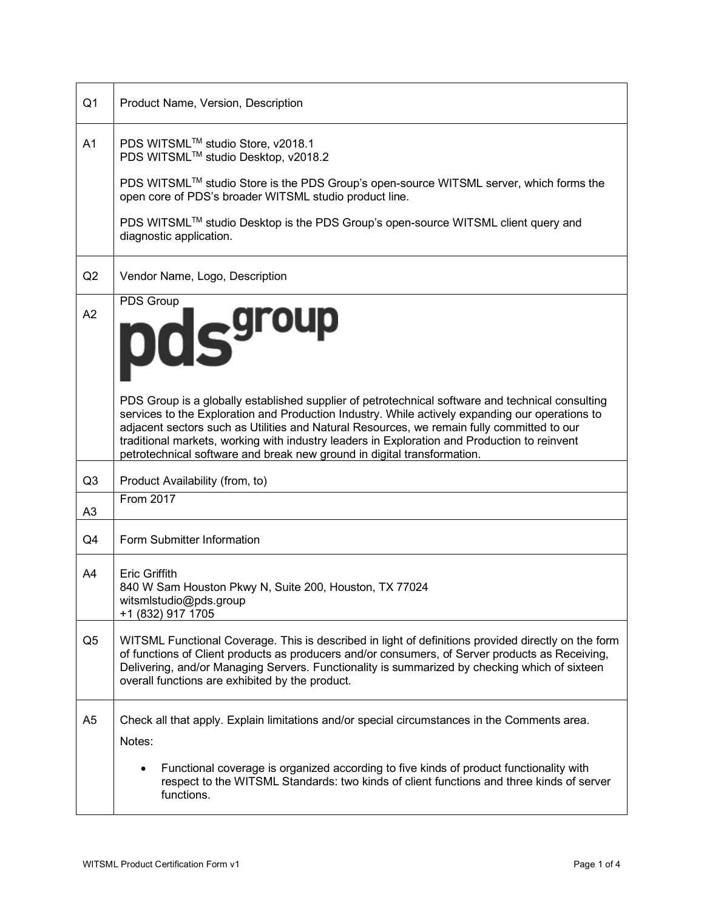| Q <sub>1</sub> | Product Name, Version, Description                                                                                                                                                                                                                                                                                                                                                                                                                                           |
|----------------|------------------------------------------------------------------------------------------------------------------------------------------------------------------------------------------------------------------------------------------------------------------------------------------------------------------------------------------------------------------------------------------------------------------------------------------------------------------------------|
| A1             | PDS WITSML™ studio Store, v2018.1<br>PDS WITSML™ studio Desktop, v2018.2<br>PDS WITSML™ studio Store is the PDS Group's open-source WITSML server, which forms the<br>open core of PDS's broader WITSML studio product line.<br>PDS WITSML™ studio Desktop is the PDS Group's open-source WITSML client query and                                                                                                                                                            |
|                | diagnostic application.                                                                                                                                                                                                                                                                                                                                                                                                                                                      |
| Q2             | Vendor Name, Logo, Description                                                                                                                                                                                                                                                                                                                                                                                                                                               |
| A2             | PDS Group<br>pds <sup>group</sup>                                                                                                                                                                                                                                                                                                                                                                                                                                            |
|                | PDS Group is a globally established supplier of petrotechnical software and technical consulting<br>services to the Exploration and Production Industry. While actively expanding our operations to<br>adjacent sectors such as Utilities and Natural Resources, we remain fully committed to our<br>traditional markets, working with industry leaders in Exploration and Production to reinvent<br>petrotechnical software and break new ground in digital transformation. |
| Q <sub>3</sub> | Product Availability (from, to)                                                                                                                                                                                                                                                                                                                                                                                                                                              |
| A <sub>3</sub> | <b>From 2017</b>                                                                                                                                                                                                                                                                                                                                                                                                                                                             |
| Q4             | Form Submitter Information                                                                                                                                                                                                                                                                                                                                                                                                                                                   |
| A4             | <b>Eric Griffith</b><br>840 W Sam Houston Pkwy N, Suite 200, Houston, TX 77024<br>witsmlstudio@pds.group<br>+1 (832) 917 1705                                                                                                                                                                                                                                                                                                                                                |
| Q5             | WITSML Functional Coverage. This is described in light of definitions provided directly on the form<br>of functions of Client products as producers and/or consumers, of Server products as Receiving,<br>Delivering, and/or Managing Servers. Functionality is summarized by checking which of sixteen<br>overall functions are exhibited by the product.                                                                                                                   |
| A <sub>5</sub> | Check all that apply. Explain limitations and/or special circumstances in the Comments area.<br>Notes:                                                                                                                                                                                                                                                                                                                                                                       |
|                | Functional coverage is organized according to five kinds of product functionality with<br>respect to the WITSML Standards: two kinds of client functions and three kinds of server<br>functions.                                                                                                                                                                                                                                                                             |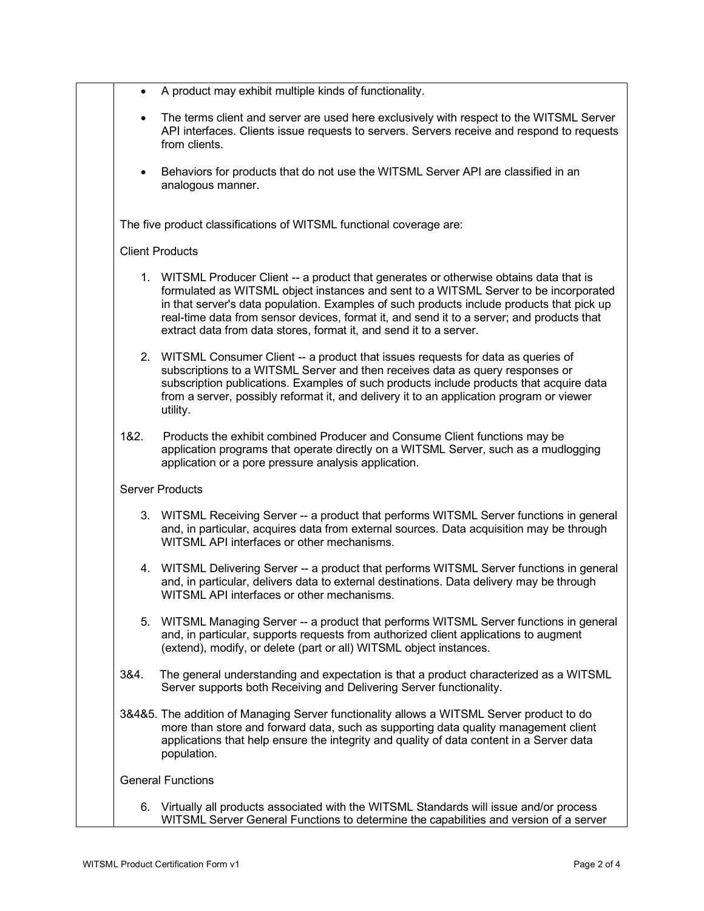| $\bullet$ | A product may exhibit multiple kinds of functionality.                                                                                                                                                                                                                                                                                                                                                                                          |
|-----------|-------------------------------------------------------------------------------------------------------------------------------------------------------------------------------------------------------------------------------------------------------------------------------------------------------------------------------------------------------------------------------------------------------------------------------------------------|
| $\bullet$ | The terms client and server are used here exclusively with respect to the WITSML Server<br>API interfaces. Clients issue requests to servers. Servers receive and respond to requests<br>from clients.                                                                                                                                                                                                                                          |
| $\bullet$ | Behaviors for products that do not use the WITSML Server API are classified in an<br>analogous manner.                                                                                                                                                                                                                                                                                                                                          |
|           | The five product classifications of WITSML functional coverage are:                                                                                                                                                                                                                                                                                                                                                                             |
|           | <b>Client Products</b>                                                                                                                                                                                                                                                                                                                                                                                                                          |
|           | 1. WITSML Producer Client -- a product that generates or otherwise obtains data that is<br>formulated as WITSML object instances and sent to a WITSML Server to be incorporated<br>in that server's data population. Examples of such products include products that pick up<br>real-time data from sensor devices, format it, and send it to a server; and products that<br>extract data from data stores, format it, and send it to a server. |
|           | 2. WITSML Consumer Client -- a product that issues requests for data as queries of<br>subscriptions to a WITSML Server and then receives data as query responses or<br>subscription publications. Examples of such products include products that acquire data<br>from a server, possibly reformat it, and delivery it to an application program or viewer<br>utility.                                                                          |
| 1&2.      | Products the exhibit combined Producer and Consume Client functions may be<br>application programs that operate directly on a WITSML Server, such as a mudlogging<br>application or a pore pressure analysis application.                                                                                                                                                                                                                       |
|           | <b>Server Products</b>                                                                                                                                                                                                                                                                                                                                                                                                                          |
|           | 3. WITSML Receiving Server -- a product that performs WITSML Server functions in general<br>and, in particular, acquires data from external sources. Data acquisition may be through<br>WITSML API interfaces or other mechanisms.                                                                                                                                                                                                              |
| 4.        | WITSML Delivering Server -- a product that performs WITSML Server functions in general<br>and, in particular, delivers data to external destinations. Data delivery may be through<br>WITSML API interfaces or other mechanisms.                                                                                                                                                                                                                |
| 5.        | WITSML Managing Server -- a product that performs WITSML Server functions in general<br>and, in particular, supports requests from authorized client applications to augment<br>(extend), modify, or delete (part or all) WITSML object instances.                                                                                                                                                                                              |
| 3&4.      | The general understanding and expectation is that a product characterized as a WITSML<br>Server supports both Receiving and Delivering Server functionality.                                                                                                                                                                                                                                                                                    |
|           | 3&4&5. The addition of Managing Server functionality allows a WITSML Server product to do<br>more than store and forward data, such as supporting data quality management client<br>applications that help ensure the integrity and quality of data content in a Server data<br>population.                                                                                                                                                     |
|           | <b>General Functions</b>                                                                                                                                                                                                                                                                                                                                                                                                                        |
|           | 6. Virtually all products associated with the WITSML Standards will issue and/or process<br>WITSML Server General Functions to determine the capabilities and version of a server                                                                                                                                                                                                                                                               |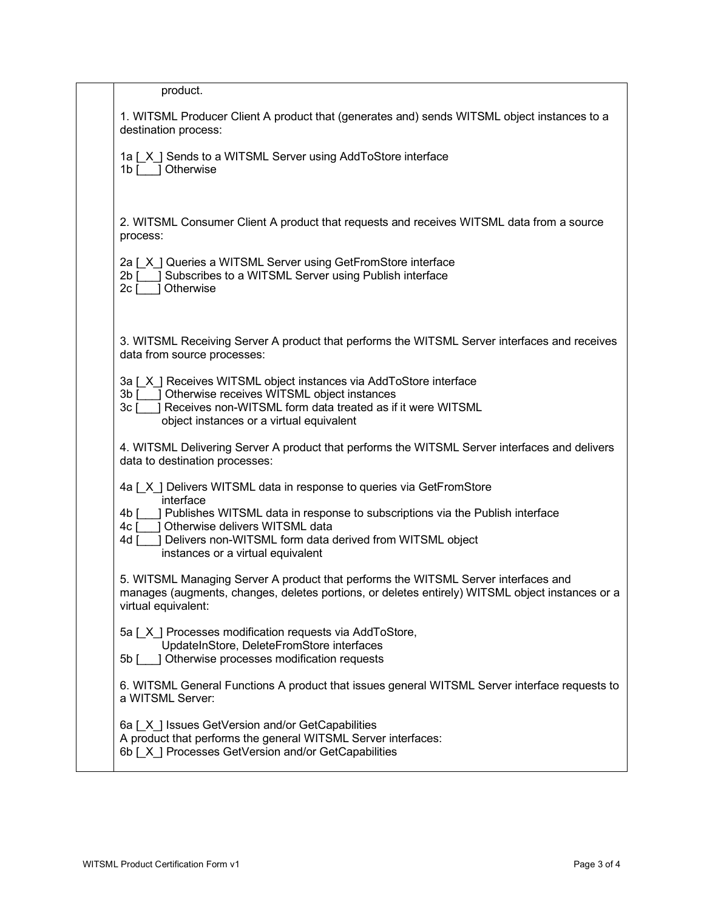| product.                                                                                                                                                                                                                                               |
|--------------------------------------------------------------------------------------------------------------------------------------------------------------------------------------------------------------------------------------------------------|
| 1. WITSML Producer Client A product that (generates and) sends WITSML object instances to a<br>destination process:                                                                                                                                    |
| 1a [X ] Sends to a WITSML Server using AddToStore interface<br>1b [ ] Otherwise                                                                                                                                                                        |
| 2. WITSML Consumer Client A product that requests and receives WITSML data from a source<br>process:                                                                                                                                                   |
| 2a [X ] Queries a WITSML Server using GetFromStore interface<br>2b [ ] Subscribes to a WITSML Server using Publish interface<br>1 Otherwise<br>$2c$ [                                                                                                  |
| 3. WITSML Receiving Server A product that performs the WITSML Server interfaces and receives<br>data from source processes:                                                                                                                            |
| 3a [X ] Receives WITSML object instances via AddToStore interface<br>3b [ ] Otherwise receives WITSML object instances<br>Receives non-WITSML form data treated as if it were WITSML<br>$3c$ $\lceil$<br>object instances or a virtual equivalent      |
| 4. WITSML Delivering Server A product that performs the WITSML Server interfaces and delivers<br>data to destination processes:                                                                                                                        |
| 4a [X] Delivers WITSML data in response to queries via GetFromStore<br>interface                                                                                                                                                                       |
| ] Publishes WITSML data in response to subscriptions via the Publish interface<br>4b [<br>1 Otherwise delivers WITSML data<br>$4c$ [<br>Delivers non-WITSML form data derived from WITSML object<br>$4d$ $\lceil$<br>instances or a virtual equivalent |
| 5. WITSML Managing Server A product that performs the WITSML Server interfaces and<br>manages (augments, changes, deletes portions, or deletes entirely) WITSML object instances or a<br>virtual equivalent:                                           |
| 5a [X] Processes modification requests via AddToStore,<br>UpdateInStore, DeleteFromStore interfaces<br>5b [ ] Otherwise processes modification requests                                                                                                |
| 6. WITSML General Functions A product that issues general WITSML Server interface requests to<br>a WITSML Server:                                                                                                                                      |
| 6a [ X ] Issues GetVersion and/or GetCapabilities<br>A product that performs the general WITSML Server interfaces:<br>6b [X] Processes GetVersion and/or GetCapabilities                                                                               |